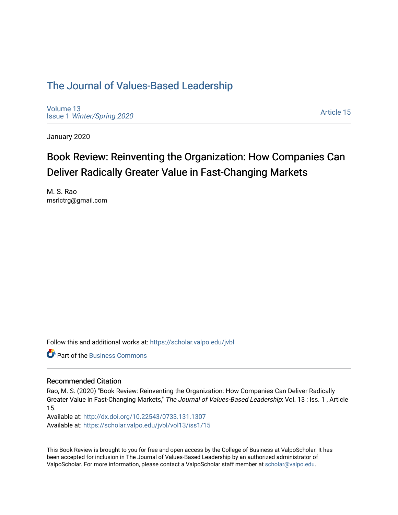## [The Journal of Values-Based Leadership](https://scholar.valpo.edu/jvbl)

[Volume 13](https://scholar.valpo.edu/jvbl/vol13) Issue 1 [Winter/Spring 2020](https://scholar.valpo.edu/jvbl/vol13/iss1) 

[Article 15](https://scholar.valpo.edu/jvbl/vol13/iss1/15) 

January 2020

# Book Review: Reinventing the Organization: How Companies Can Deliver Radically Greater Value in Fast-Changing Markets

M. S. Rao msrlctrg@gmail.com

Follow this and additional works at: [https://scholar.valpo.edu/jvbl](https://scholar.valpo.edu/jvbl?utm_source=scholar.valpo.edu%2Fjvbl%2Fvol13%2Fiss1%2F15&utm_medium=PDF&utm_campaign=PDFCoverPages) 

**C** Part of the [Business Commons](http://network.bepress.com/hgg/discipline/622?utm_source=scholar.valpo.edu%2Fjvbl%2Fvol13%2Fiss1%2F15&utm_medium=PDF&utm_campaign=PDFCoverPages)

#### Recommended Citation

Rao, M. S. (2020) "Book Review: Reinventing the Organization: How Companies Can Deliver Radically Greater Value in Fast-Changing Markets," The Journal of Values-Based Leadership: Vol. 13 : Iss. 1 , Article 15.

Available at:<http://dx.doi.org/10.22543/0733.131.1307> Available at: [https://scholar.valpo.edu/jvbl/vol13/iss1/15](https://scholar.valpo.edu/jvbl/vol13/iss1/15?utm_source=scholar.valpo.edu%2Fjvbl%2Fvol13%2Fiss1%2F15&utm_medium=PDF&utm_campaign=PDFCoverPages) 

This Book Review is brought to you for free and open access by the College of Business at ValpoScholar. It has been accepted for inclusion in The Journal of Values-Based Leadership by an authorized administrator of ValpoScholar. For more information, please contact a ValpoScholar staff member at [scholar@valpo.edu](mailto:scholar@valpo.edu).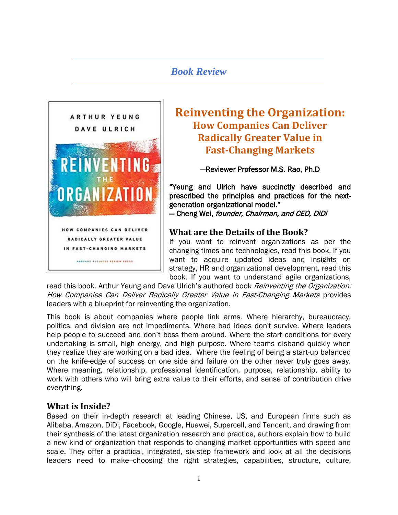### *Book Review*



# **Reinventing the Organization: How Companies Can Deliver Radically Greater Value in Fast-Changing Markets**

—Reviewer Professor M.S. Rao, Ph.D

"Yeung and Ulrich have succinctly described and prescribed the principles and practices for the nextgeneration organizational model." ― Cheng Wei, founder, Chairman, and CEO, DiDi

#### **What are the Details of the Book?**

If you want to reinvent organizations as per the changing times and technologies, read this book. If you want to acquire updated ideas and insights on strategy, HR and organizational development, read this book. If you want to understand agile organizations,

read this book. Arthur Yeung and Dave Ulrich's authored book Reinventing the Organization: How Companies Can Deliver Radically Greater Value in Fast-Changing Markets provides leaders with a blueprint for reinventing the organization.

This book is about companies where people link arms. Where hierarchy, bureaucracy, politics, and division are not impediments. Where bad ideas don't survive. Where leaders help people to succeed and don't boss them around. Where the start conditions for every undertaking is small, high energy, and high purpose. Where teams disband quickly when they realize they are working on a bad idea. Where the feeling of being a start-up balanced on the knife-edge of success on one side and failure on the other never truly goes away. Where meaning, relationship, professional identification, purpose, relationship, ability to work with others who will bring extra value to their efforts, and sense of contribution drive everything.

#### **What is Inside?**

Based on their in-depth research at leading Chinese, US, and European firms such as Alibaba, Amazon, DiDi, Facebook, Google, Huawei, Supercell, and Tencent, and drawing from their synthesis of the latest organization research and practice, authors explain how to build a new kind of organization that responds to changing market opportunities with speed and scale. They offer a practical, integrated, six-step framework and look at all the decisions leaders need to make--choosing the right strategies, capabilities, structure, culture,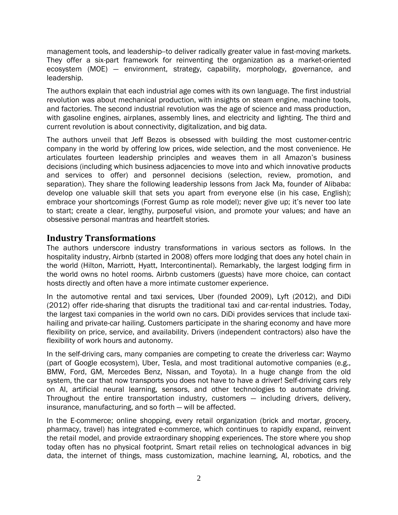management tools, and leadership--to deliver radically greater value in fast-moving markets. They offer a six-part framework for reinventing the organization as a market-oriented ecosystem (MOE) ― environment, strategy, capability, morphology, governance, and leadership.

The authors explain that each industrial age comes with its own language. The first industrial revolution was about mechanical production, with insights on steam engine, machine tools, and factories. The second industrial revolution was the age of science and mass production, with gasoline engines, airplanes, assembly lines, and electricity and lighting. The third and current revolution is about connectivity, digitalization, and big data.

The authors unveil that Jeff Bezos is obsessed with building the most customer-centric company in the world by offering low prices, wide selection, and the most convenience. He articulates fourteen leadership principles and weaves them in all Amazon's business decisions (including which business adjacencies to move into and which innovative products and services to offer) and personnel decisions (selection, review, promotion, and separation). They share the following leadership lessons from Jack Ma, founder of Alibaba: develop one valuable skill that sets you apart from everyone else (in his case, English); embrace your shortcomings (Forrest Gump as role model); never give up; it's never too late to start; create a clear, lengthy, purposeful vision, and promote your values; and have an obsessive personal mantras and heartfelt stories.

#### **Industry Transformations**

The authors underscore industry transformations in various sectors as follows. In the hospitality industry, Airbnb (started in 2008) offers more lodging that does any hotel chain in the world (Hilton, Marriott, Hyatt, Intercontinental). Remarkably, the largest lodging firm in the world owns no hotel rooms. Airbnb customers (guests) have more choice, can contact hosts directly and often have a more intimate customer experience.

In the automotive rental and taxi services, Uber (founded 2009), Lyft (2012), and DiDi (2012) offer ride-sharing that disrupts the traditional taxi and car-rental industries. Today, the largest taxi companies in the world own no cars. DiDi provides services that include taxihailing and private-car hailing. Customers participate in the sharing economy and have more flexibility on price, service, and availability. Drivers (independent contractors) also have the flexibility of work hours and autonomy.

In the self-driving cars, many companies are competing to create the driverless car: Waymo (part of Google ecosystem), Uber, Tesla, and most traditional automotive companies (e.g., BMW, Ford, GM, Mercedes Benz, Nissan, and Toyota). In a huge change from the old system, the car that now transports you does not have to have a driver! Self-driving cars rely on AI, artificial neural learning, sensors, and other technologies to automate driving. Throughout the entire transportation industry, customers — including drivers, delivery, insurance, manufacturing, and so forth — will be affected.

In the E-commerce; online shopping, every retail organization (brick and mortar, grocery, pharmacy, travel) has integrated e-commerce, which continues to rapidly expand, reinvent the retail model, and provide extraordinary shopping experiences. The store where you shop today often has no physical footprint. Smart retail relies on technological advances in big data, the internet of things, mass customization, machine learning, AI, robotics, and the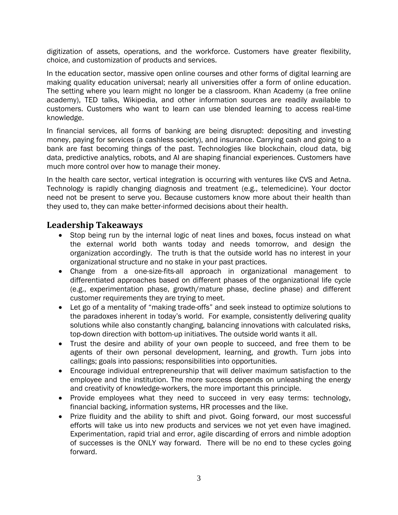digitization of assets, operations, and the workforce. Customers have greater flexibility, choice, and customization of products and services.

In the education sector, massive open online courses and other forms of digital learning are making quality education universal; nearly all universities offer a form of online education. The setting where you learn might no longer be a classroom. Khan Academy (a free online academy), TED talks, Wikipedia, and other information sources are readily available to customers. Customers who want to learn can use blended learning to access real-time knowledge.

In financial services, all forms of banking are being disrupted: depositing and investing money, paying for services (a cashless society), and insurance. Carrying cash and going to a bank are fast becoming things of the past. Technologies like blockchain, cloud data, big data, predictive analytics, robots, and AI are shaping financial experiences. Customers have much more control over how to manage their money.

In the health care sector, vertical integration is occurring with ventures like CVS and Aetna. Technology is rapidly changing diagnosis and treatment (e.g., telemedicine). Your doctor need not be present to serve you. Because customers know more about their health than they used to, they can make better-informed decisions about their health.

#### **Leadership Takeaways**

- Stop being run by the internal logic of neat lines and boxes, focus instead on what the external world both wants today and needs tomorrow, and design the organization accordingly. The truth is that the outside world has no interest in your organizational structure and no stake in your past practices.
- Change from a one-size-fits-all approach in organizational management to differentiated approaches based on different phases of the organizational life cycle (e.g., experimentation phase, growth/mature phase, decline phase) and different customer requirements they are trying to meet.
- Let go of a mentality of "making trade-offs" and seek instead to optimize solutions to the paradoxes inherent in today's world. For example, consistently delivering quality solutions while also constantly changing, balancing innovations with calculated risks, top-down direction with bottom-up initiatives. The outside world wants it all.
- Trust the desire and ability of your own people to succeed, and free them to be agents of their own personal development, learning, and growth. Turn jobs into callings; goals into passions; responsibilities into opportunities.
- Encourage individual entrepreneurship that will deliver maximum satisfaction to the employee and the institution. The more success depends on unleashing the energy and creativity of knowledge-workers, the more important this principle.
- Provide employees what they need to succeed in very easy terms: technology, financial backing, information systems, HR processes and the like.
- Prize fluidity and the ability to shift and pivot. Going forward, our most successful efforts will take us into new products and services we not yet even have imagined. Experimentation, rapid trial and error, agile discarding of errors and nimble adoption of successes is the ONLY way forward. There will be no end to these cycles going forward.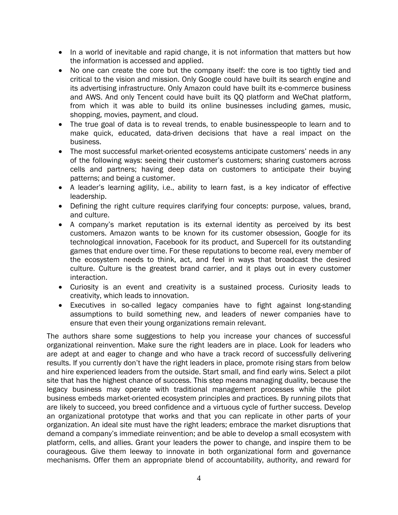- In a world of inevitable and rapid change, it is not information that matters but how the information is accessed and applied.
- No one can create the core but the company itself: the core is too tightly tied and critical to the vision and mission. Only Google could have built its search engine and its advertising infrastructure. Only Amazon could have built its e-commerce business and AWS. And only Tencent could have built its QQ platform and WeChat platform, from which it was able to build its online businesses including games, music, shopping, movies, payment, and cloud.
- The true goal of data is to reveal trends, to enable businesspeople to learn and to make quick, educated, data-driven decisions that have a real impact on the business.
- The most successful market-oriented ecosystems anticipate customers' needs in any of the following ways: seeing their customer's customers; sharing customers across cells and partners; having deep data on customers to anticipate their buying patterns; and being a customer.
- A leader's learning agility, i.e., ability to learn fast, is a key indicator of effective leadership.
- Defining the right culture requires clarifying four concepts: purpose, values, brand, and culture.
- A company's market reputation is its external identity as perceived by its best customers. Amazon wants to be known for its customer obsession, Google for its technological innovation, Facebook for its product, and Supercell for its outstanding games that endure over time. For these reputations to become real, every member of the ecosystem needs to think, act, and feel in ways that broadcast the desired culture. Culture is the greatest brand carrier, and it plays out in every customer interaction.
- Curiosity is an event and creativity is a sustained process. Curiosity leads to creativity, which leads to innovation.
- Executives in so-called legacy companies have to fight against long-standing assumptions to build something new, and leaders of newer companies have to ensure that even their young organizations remain relevant.

The authors share some suggestions to help you increase your chances of successful organizational reinvention. Make sure the right leaders are in place. Look for leaders who are adept at and eager to change and who have a track record of successfully delivering results. If you currently don't have the right leaders in place, promote rising stars from below and hire experienced leaders from the outside. Start small, and find early wins. Select a pilot site that has the highest chance of success. This step means managing duality, because the legacy business may operate with traditional management processes while the pilot business embeds market-oriented ecosystem principles and practices. By running pilots that are likely to succeed, you breed confidence and a virtuous cycle of further success. Develop an organizational prototype that works and that you can replicate in other parts of your organization. An ideal site must have the right leaders; embrace the market disruptions that demand a company's immediate reinvention; and be able to develop a small ecosystem with platform, cells, and allies. Grant your leaders the power to change, and inspire them to be courageous. Give them leeway to innovate in both organizational form and governance mechanisms. Offer them an appropriate blend of accountability, authority, and reward for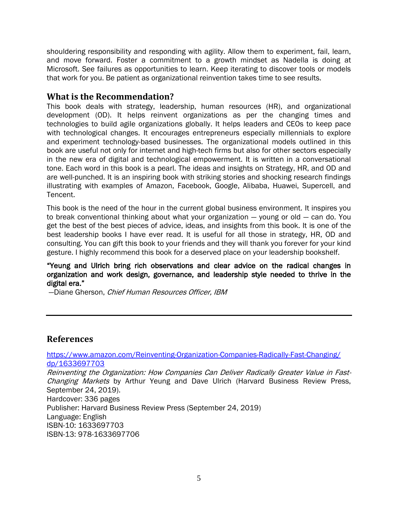shouldering responsibility and responding with agility. Allow them to experiment, fail, learn, and move forward. Foster a commitment to a growth mindset as Nadella is doing at Microsoft. See failures as opportunities to learn. Keep iterating to discover tools or models that work for you. Be patient as organizational reinvention takes time to see results.

#### **What is the Recommendation?**

This book deals with strategy, leadership, human resources (HR), and organizational development (OD). It helps reinvent organizations as per the changing times and technologies to build agile organizations globally. It helps leaders and CEOs to keep pace with technological changes. It encourages entrepreneurs especially millennials to explore and experiment technology-based businesses. The organizational models outlined in this book are useful not only for internet and high-tech firms but also for other sectors especially in the new era of digital and technological empowerment. It is written in a conversational tone. Each word in this book is a pearl. The ideas and insights on Strategy, HR, and OD and are well-punched. It is an inspiring book with striking stories and shocking research findings illustrating with examples of Amazon, Facebook, Google, Alibaba, Huawei, Supercell, and Tencent.

This book is the need of the hour in the current global business environment. It inspires you to break conventional thinking about what your organization — young or old — can do. You get the best of the best pieces of advice, ideas, and insights from this book. It is one of the best leadership books I have ever read. It is useful for all those in strategy, HR, OD and consulting. You can gift this book to your friends and they will thank you forever for your kind gesture. I highly recommend this book for a deserved place on your leadership bookshelf.

#### "Yeung and Ulrich bring rich observations and clear advice on the radical changes in organization and work design, governance, and leadership style needed to thrive in the digital era."

―Diane Gherson, Chief Human Resources Officer, IBM

### **References**

[https://www.amazon.com/Reinventing-Organization-Companies-Radically-Fast-Changing/](https://www.amazon.com/Reinventing-Organization-Companies-Radically-Fast-Changing/%20dp/1633697703) [dp/1633697703](https://www.amazon.com/Reinventing-Organization-Companies-Radically-Fast-Changing/%20dp/1633697703)

Reinventing the Organization: How Companies Can Deliver Radically Greater Value in Fast-Changing Markets by Arthur Yeung and Dave Ulrich (Harvard Business Review Press, September 24, 2019). Hardcover: 336 pages Publisher: Harvard Business Review Press (September 24, 2019) Language: English ISBN-10: 1633697703 ISBN-13: 978-1633697706